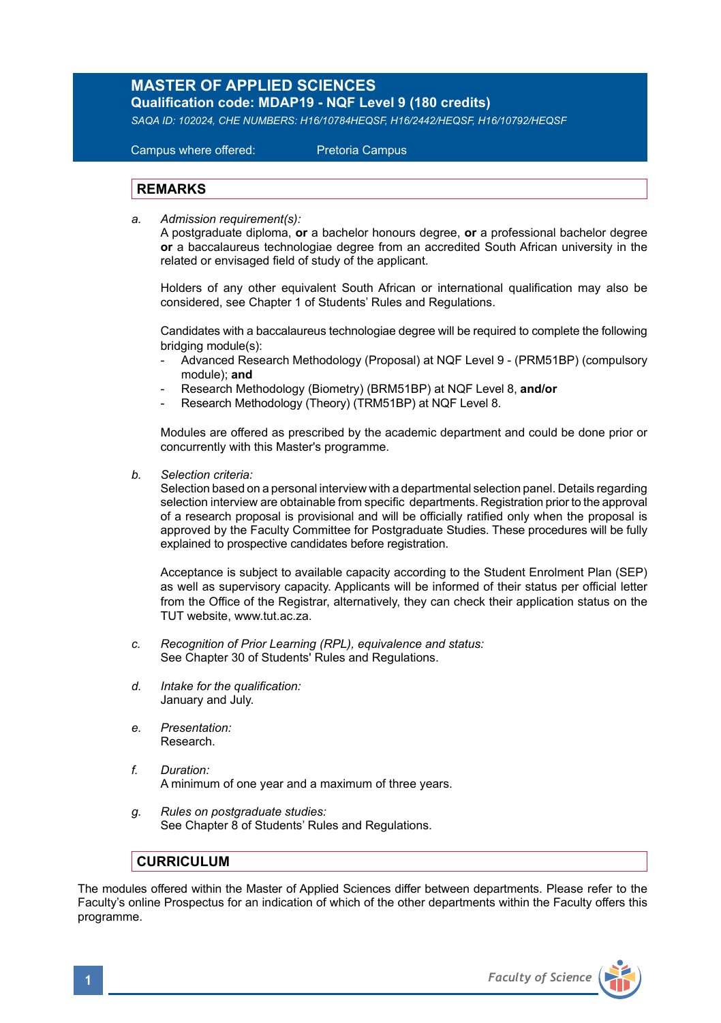## **MASTER OF APPLIED SCIENCES**

**Qualification code: MDAP19 - NQF Level 9 (180 credits)**

*SAQA ID: 102024, CHE NUMBERS: H16/10784HEQSF, H16/2442/HEQSF, H16/10792/HEQSF* 

 Campus where offered: Pretoria Campus

## **REMARKS**

*a. Admission requirement(s):* 

A postgraduate diploma, **or** a bachelor honours degree, **or** a professional bachelor degree **or** a baccalaureus technologiae degree from an accredited South African university in the related or envisaged field of study of the applicant.

 Holders of any other equivalent South African or international qualification may also be considered, see Chapter 1 of Students' Rules and Regulations.

 Candidates with a baccalaureus technologiae degree will be required to complete the following bridging module(s):

- Advanced Research Methodology (Proposal) at NQF Level 9 (PRM51BP) (compulsory module); **and**
- Research Methodology (Biometry) (BRM51BP) at NQF Level 8, **and/or**
- Research Methodology (Theory) (TRM51BP) at NQF Level 8.

Modules are offered as prescribed by the academic department and could be done prior or concurrently with this Master's programme.

*b. Selection criteria:*

Selection based on a personal interview with a departmental selection panel. Details regarding selection interview are obtainable from specific departments. Registration prior to the approval of a research proposal is provisional and will be officially ratified only when the proposal is approved by the Faculty Committee for Postgraduate Studies. These procedures will be fully explained to prospective candidates before registration.

Acceptance is subject to available capacity according to the Student Enrolment Plan (SEP) as well as supervisory capacity. Applicants will be informed of their status per official letter from the Office of the Registrar, alternatively, they can check their application status on the TUT website, www.tut.ac.za.

- *c. Recognition of Prior Learning (RPL), equivalence and status:* See Chapter 30 of Students' Rules and Regulations.
- *d. Intake for the qualification:* January and July.
- *e. Presentation:* Research.
- *f. Duration:*  A minimum of one year and a maximum of three years.
- *g. Rules on postgraduate studies:* See Chapter 8 of Students' Rules and Regulations.

## **CURRICULUM**

The modules offered within the Master of Applied Sciences differ between departments. Please refer to the Faculty's online Prospectus for an indication of which of the other departments within the Faculty offers this programme.